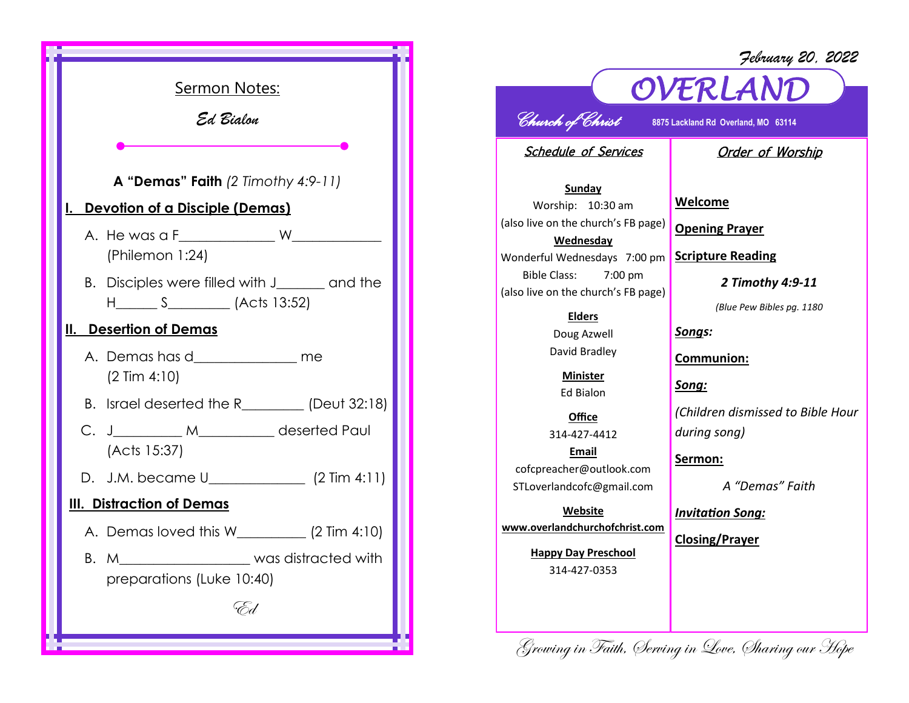

## *OVERLAND February 20, 2022 Church of Christ* **8875 Lackland Rd Overland, MO 63114**  Schedule of Services **Sunday** Worship: 10:30 am (also live on the church's FB page) **Wednesday** Wonderful Wednesdays 7:00 pm Bible Class: 7:00 pm (also live on the church's FB page) **Elders** Doug Azwell David Bradley **Minister** Ed Bialon **Office** 314-427-4412 **Email** cofcpreacher@outlook.com STLoverlandcofc@gmail.com **Website www.overlandchurchofchrist.com Happy Day Preschool** 314-427-0353 Order of Worship **Welcome Opening Prayer Scripture Reading** *2 Timothy 4:9-11 (Blue Pew Bibles pg. 1180 Songs:* **Communion:** *Song: (Children dismissed to Bible Hour during song)* **Sermon:**  *A "Demas" Faith Invitation Song:* **Closing/Prayer**

Growing in Faith, Serving in Love, Sharing our Hope